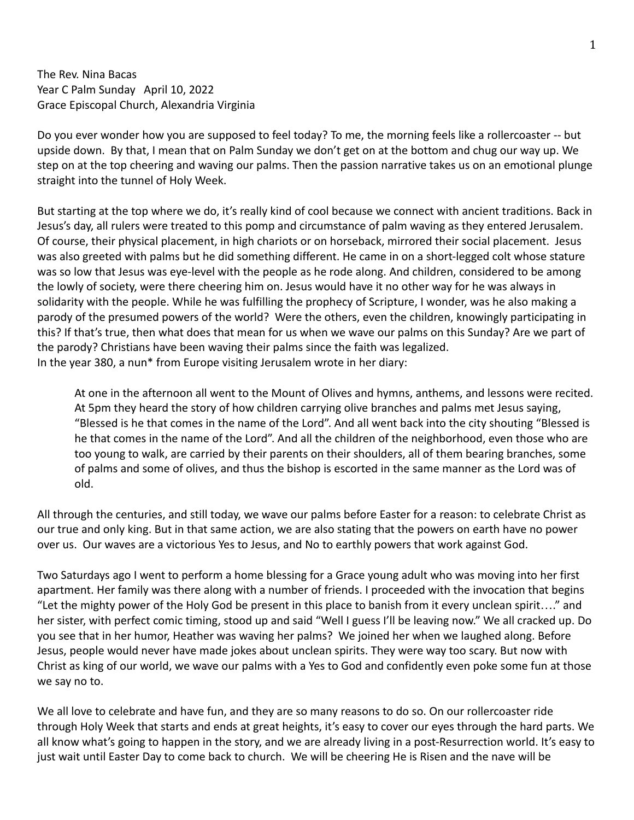The Rev. Nina Bacas Year C Palm Sunday April 10, 2022 Grace Episcopal Church, Alexandria Virginia

Do you ever wonder how you are supposed to feel today? To me, the morning feels like a rollercoaster -- but upside down. By that, I mean that on Palm Sunday we don't get on at the bottom and chug our way up. We step on at the top cheering and waving our palms. Then the passion narrative takes us on an emotional plunge straight into the tunnel of Holy Week.

But starting at the top where we do, it's really kind of cool because we connect with ancient traditions. Back in Jesus's day, all rulers were treated to this pomp and circumstance of palm waving as they entered Jerusalem. Of course, their physical placement, in high chariots or on horseback, mirrored their social placement. Jesus was also greeted with palms but he did something different. He came in on a short-legged colt whose stature was so low that Jesus was eye-level with the people as he rode along. And children, considered to be among the lowly of society, were there cheering him on. Jesus would have it no other way for he was always in solidarity with the people. While he was fulfilling the prophecy of Scripture, I wonder, was he also making a parody of the presumed powers of the world? Were the others, even the children, knowingly participating in this? If that's true, then what does that mean for us when we wave our palms on this Sunday? Are we part of the parody? Christians have been waving their palms since the faith was legalized. In the year 380, a nun\* from Europe visiting Jerusalem wrote in her diary:

At one in the afternoon all went to the Mount of Olives and hymns, anthems, and lessons were recited. At 5pm they heard the story of how children carrying olive branches and palms met Jesus saying, "Blessed is he that comes in the name of the Lord". And all went back into the city shouting "Blessed is he that comes in the name of the Lord". And all the children of the neighborhood, even those who are too young to walk, are carried by their parents on their shoulders, all of them bearing branches, some of palms and some of olives, and thus the bishop is escorted in the same manner as the Lord was of old.

All through the centuries, and still today, we wave our palms before Easter for a reason: to celebrate Christ as our true and only king. But in that same action, we are also stating that the powers on earth have no power over us. Our waves are a victorious Yes to Jesus, and No to earthly powers that work against God.

Two Saturdays ago I went to perform a home blessing for a Grace young adult who was moving into her first apartment. Her family was there along with a number of friends. I proceeded with the invocation that begins "Let the mighty power of the Holy God be present in this place to banish from it every unclean spirit…." and her sister, with perfect comic timing, stood up and said "Well I guess I'll be leaving now." We all cracked up. Do you see that in her humor, Heather was waving her palms? We joined her when we laughed along. Before Jesus, people would never have made jokes about unclean spirits. They were way too scary. But now with Christ as king of our world, we wave our palms with a Yes to God and confidently even poke some fun at those we say no to.

We all love to celebrate and have fun, and they are so many reasons to do so. On our rollercoaster ride through Holy Week that starts and ends at great heights, it's easy to cover our eyes through the hard parts. We all know what's going to happen in the story, and we are already living in a post-Resurrection world. It's easy to just wait until Easter Day to come back to church. We will be cheering He is Risen and the nave will be